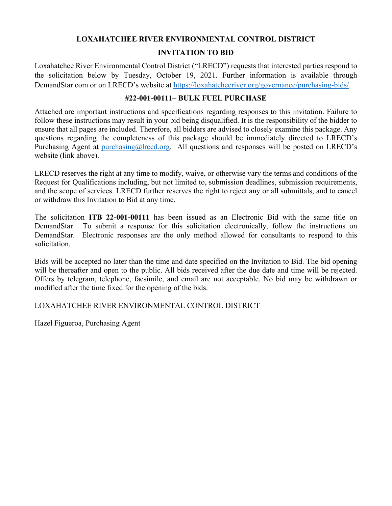#### **LOXAHATCHEE RIVER ENVIRONMENTAL CONTROL DISTRICT**

#### **INVITATION TO BID**

Loxahatchee River Environmental Control District ("LRECD") requests that interested parties respond to the solicitation below by Tuesday, October 19, 2021. Further information is available through DemandStar.com or on LRECD's website at https://loxahatcheeriver.org/governance/purchasing-bids/.

#### **#22-001-00111– BULK FUEL PURCHASE**

Attached are important instructions and specifications regarding responses to this invitation. Failure to follow these instructions may result in your bid being disqualified. It is the responsibility of the bidder to ensure that all pages are included. Therefore, all bidders are advised to closely examine this package. Any questions regarding the completeness of this package should be immediately directed to LRECD's Purchasing Agent at purchasing@lrecd.org. All questions and responses will be posted on LRECD's website (link above).

LRECD reserves the right at any time to modify, waive, or otherwise vary the terms and conditions of the Request for Qualifications including, but not limited to, submission deadlines, submission requirements, and the scope of services. LRECD further reserves the right to reject any or all submittals, and to cancel or withdraw this Invitation to Bid at any time.

The solicitation **ITB 22-001-00111** has been issued as an Electronic Bid with the same title on DemandStar. To submit a response for this solicitation electronically, follow the instructions on DemandStar. Electronic responses are the only method allowed for consultants to respond to this solicitation.

Bids will be accepted no later than the time and date specified on the Invitation to Bid. The bid opening will be thereafter and open to the public. All bids received after the due date and time will be rejected. Offers by telegram, telephone, facsimile, and email are not acceptable. No bid may be withdrawn or modified after the time fixed for the opening of the bids.

#### LOXAHATCHEE RIVER ENVIRONMENTAL CONTROL DISTRICT

Hazel Figueroa, Purchasing Agent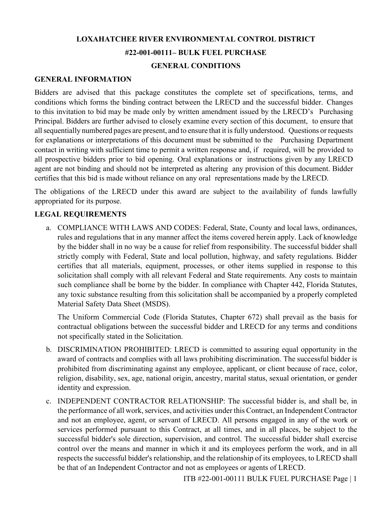### **LOXAHATCHEE RIVER ENVIRONMENTAL CONTROL DISTRICT #22-001-00111– BULK FUEL PURCHASE GENERAL CONDITIONS**

#### **GENERAL INFORMATION**

Bidders are advised that this package constitutes the complete set of specifications, terms, and conditions which forms the binding contract between the LRECD and the successful bidder. Changes to this invitation to bid may be made only by written amendment issued by the LRECD's Purchasing Principal. Bidders are further advised to closely examine every section of this document, to ensure that all sequentially numbered pages are present, and to ensure that it is fully understood. Questions or requests for explanations or interpretations of this document must be submitted to the Purchasing Department contact in writing with sufficient time to permit a written response and, if required, will be provided to all prospective bidders prior to bid opening. Oral explanations or instructions given by any LRECD agent are not binding and should not be interpreted as altering any provision of this document. Bidder certifies that this bid is made without reliance on any oral representations made by the LRECD.

The obligations of the LRECD under this award are subject to the availability of funds lawfully appropriated for its purpose.

#### **LEGAL REQUIREMENTS**

a. COMPLIANCE WITH LAWS AND CODES: Federal, State, County and local laws, ordinances, rules and regulations that in any manner affect the items covered herein apply. Lack of knowledge by the bidder shall in no way be a cause for relief from responsibility. The successful bidder shall strictly comply with Federal, State and local pollution, highway, and safety regulations. Bidder certifies that all materials, equipment, processes, or other items supplied in response to this solicitation shall comply with all relevant Federal and State requirements. Any costs to maintain such compliance shall be borne by the bidder. In compliance with Chapter 442, Florida Statutes, any toxic substance resulting from this solicitation shall be accompanied by a properly completed Material Safety Data Sheet (MSDS).

The Uniform Commercial Code (Florida Statutes, Chapter 672) shall prevail as the basis for contractual obligations between the successful bidder and LRECD for any terms and conditions not specifically stated in the Solicitation.

- b. DISCRIMINATION PROHIBITED: LRECD is committed to assuring equal opportunity in the award of contracts and complies with all laws prohibiting discrimination. The successful bidder is prohibited from discriminating against any employee, applicant, or client because of race, color, religion, disability, sex, age, national origin, ancestry, marital status, sexual orientation, or gender identity and expression.
- c. INDEPENDENT CONTRACTOR RELATIONSHIP: The successful bidder is, and shall be, in the performance of all work, services, and activities under this Contract, an Independent Contractor and not an employee, agent, or servant of LRECD. All persons engaged in any of the work or services performed pursuant to this Contract, at all times, and in all places, be subject to the successful bidder's sole direction, supervision, and control. The successful bidder shall exercise control over the means and manner in which it and its employees perform the work, and in all respects the successful bidder's relationship, and the relationship of its employees, to LRECD shall be that of an Independent Contractor and not as employees or agents of LRECD.

ITB #22-001-00111 BULK FUEL PURCHASE Page | 1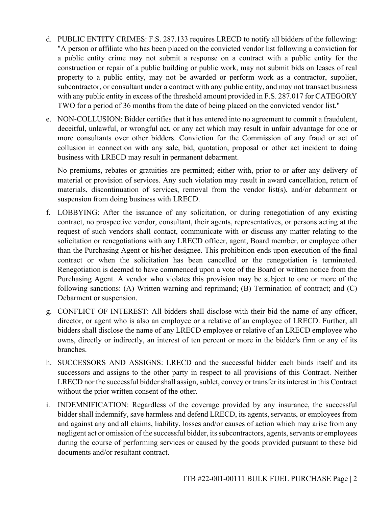- d. PUBLIC ENTITY CRIMES: F.S. 287.133 requires LRECD to notify all bidders of the following: "A person or affiliate who has been placed on the convicted vendor list following a conviction for a public entity crime may not submit a response on a contract with a public entity for the construction or repair of a public building or public work, may not submit bids on leases of real property to a public entity, may not be awarded or perform work as a contractor, supplier, subcontractor, or consultant under a contract with any public entity, and may not transact business with any public entity in excess of the threshold amount provided in F.S. 287.017 for CATEGORY TWO for a period of 36 months from the date of being placed on the convicted vendor list."
- e. NON-COLLUSION: Bidder certifies that it has entered into no agreement to commit a fraudulent, deceitful, unlawful, or wrongful act, or any act which may result in unfair advantage for one or more consultants over other bidders. Conviction for the Commission of any fraud or act of collusion in connection with any sale, bid, quotation, proposal or other act incident to doing business with LRECD may result in permanent debarment.

No premiums, rebates or gratuities are permitted; either with, prior to or after any delivery of material or provision of services. Any such violation may result in award cancellation, return of materials, discontinuation of services, removal from the vendor list(s), and/or debarment or suspension from doing business with LRECD.

- f. LOBBYING: After the issuance of any solicitation, or during renegotiation of any existing contract, no prospective vendor, consultant, their agents, representatives, or persons acting at the request of such vendors shall contact, communicate with or discuss any matter relating to the solicitation or renegotiations with any LRECD officer, agent, Board member, or employee other than the Purchasing Agent or his/her designee. This prohibition ends upon execution of the final contract or when the solicitation has been cancelled or the renegotiation is terminated. Renegotiation is deemed to have commenced upon a vote of the Board or written notice from the Purchasing Agent. A vendor who violates this provision may be subject to one or more of the following sanctions: (A) Written warning and reprimand; (B) Termination of contract; and (C) Debarment or suspension.
- g. CONFLICT OF INTEREST: All bidders shall disclose with their bid the name of any officer, director, or agent who is also an employee or a relative of an employee of LRECD. Further, all bidders shall disclose the name of any LRECD employee or relative of an LRECD employee who owns, directly or indirectly, an interest of ten percent or more in the bidder's firm or any of its branches.
- h. SUCCESSORS AND ASSIGNS: LRECD and the successful bidder each binds itself and its successors and assigns to the other party in respect to all provisions of this Contract. Neither LRECD nor the successful bidder shall assign, sublet, convey or transfer its interest in this Contract without the prior written consent of the other.
- i. INDEMNIFICATION: Regardless of the coverage provided by any insurance, the successful bidder shall indemnify, save harmless and defend LRECD, its agents, servants, or employees from and against any and all claims, liability, losses and/or causes of action which may arise from any negligent act or omission of the successful bidder, its subcontractors, agents, servants or employees during the course of performing services or caused by the goods provided pursuant to these bid documents and/or resultant contract.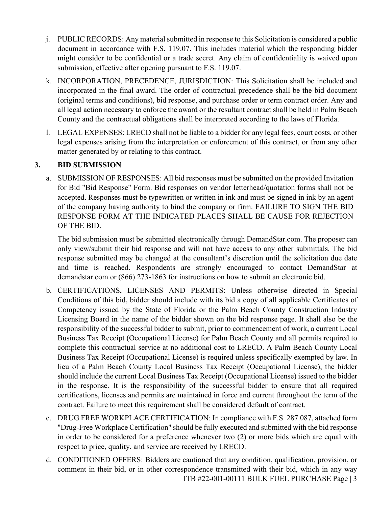- j. PUBLIC RECORDS: Any material submitted in response to this Solicitation is considered a public document in accordance with F.S. 119.07. This includes material which the responding bidder might consider to be confidential or a trade secret. Any claim of confidentiality is waived upon submission, effective after opening pursuant to F.S. 119.07.
- k. INCORPORATION, PRECEDENCE, JURISDICTION: This Solicitation shall be included and incorporated in the final award. The order of contractual precedence shall be the bid document (original terms and conditions), bid response, and purchase order or term contract order. Any and all legal action necessary to enforce the award or the resultant contract shall be held in Palm Beach County and the contractual obligations shall be interpreted according to the laws of Florida.
- l. LEGAL EXPENSES: LRECD shall not be liable to a bidder for any legal fees, court costs, or other legal expenses arising from the interpretation or enforcement of this contract, or from any other matter generated by or relating to this contract.

#### **3. BID SUBMISSION**

a. SUBMISSION OF RESPONSES: All bid responses must be submitted on the provided Invitation for Bid "Bid Response" Form. Bid responses on vendor letterhead/quotation forms shall not be accepted. Responses must be typewritten or written in ink and must be signed in ink by an agent of the company having authority to bind the company or firm. FAILURE TO SIGN THE BID RESPONSE FORM AT THE INDICATED PLACES SHALL BE CAUSE FOR REJECTION OF THE BID.

The bid submission must be submitted electronically through DemandStar.com. The proposer can only view/submit their bid response and will not have access to any other submittals. The bid response submitted may be changed at the consultant's discretion until the solicitation due date and time is reached. Respondents are strongly encouraged to contact DemandStar at demandstar.com or (866) 273-1863 for instructions on how to submit an electronic bid.

- b. CERTIFICATIONS, LICENSES AND PERMITS: Unless otherwise directed in Special Conditions of this bid, bidder should include with its bid a copy of all applicable Certificates of Competency issued by the State of Florida or the Palm Beach County Construction Industry Licensing Board in the name of the bidder shown on the bid response page. It shall also be the responsibility of the successful bidder to submit, prior to commencement of work, a current Local Business Tax Receipt (Occupational License) for Palm Beach County and all permits required to complete this contractual service at no additional cost to LRECD. A Palm Beach County Local Business Tax Receipt (Occupational License) is required unless specifically exempted by law. In lieu of a Palm Beach County Local Business Tax Receipt (Occupational License), the bidder should include the current Local Business Tax Receipt (Occupational License) issued to the bidder in the response. It is the responsibility of the successful bidder to ensure that all required certifications, licenses and permits are maintained in force and current throughout the term of the contract. Failure to meet this requirement shall be considered default of contract.
- c. DRUG FREE WORKPLACE CERTIFICATION: In compliance with F.S. 287.087, attached form "Drug-Free Workplace Certification" should be fully executed and submitted with the bid response in order to be considered for a preference whenever two (2) or more bids which are equal with respect to price, quality, and service are received by LRECD.
- ITB #22-001-00111 BULK FUEL PURCHASE Page | 3 d. CONDITIONED OFFERS: Bidders are cautioned that any condition, qualification, provision, or comment in their bid, or in other correspondence transmitted with their bid, which in any way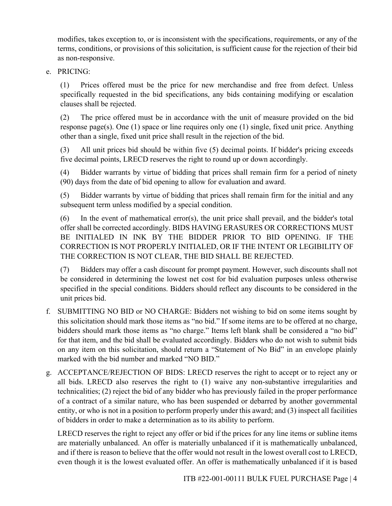modifies, takes exception to, or is inconsistent with the specifications, requirements, or any of the terms, conditions, or provisions of this solicitation, is sufficient cause for the rejection of their bid as non-responsive.

e. PRICING:

(1) Prices offered must be the price for new merchandise and free from defect. Unless specifically requested in the bid specifications, any bids containing modifying or escalation clauses shall be rejected.

(2) The price offered must be in accordance with the unit of measure provided on the bid response page(s). One (1) space or line requires only one (1) single, fixed unit price. Anything other than a single, fixed unit price shall result in the rejection of the bid.

(3) All unit prices bid should be within five (5) decimal points. If bidder's pricing exceeds five decimal points, LRECD reserves the right to round up or down accordingly.

(4) Bidder warrants by virtue of bidding that prices shall remain firm for a period of ninety (90) days from the date of bid opening to allow for evaluation and award.

(5) Bidder warrants by virtue of bidding that prices shall remain firm for the initial and any subsequent term unless modified by a special condition.

(6) In the event of mathematical error(s), the unit price shall prevail, and the bidder's total offer shall be corrected accordingly. BIDS HAVING ERASURES OR CORRECTIONS MUST BE INITIALED IN INK BY THE BIDDER PRIOR TO BID OPENING. IF THE CORRECTION IS NOT PROPERLY INITIALED, OR IF THE INTENT OR LEGIBILITY OF THE CORRECTION IS NOT CLEAR, THE BID SHALL BE REJECTED.

(7) Bidders may offer a cash discount for prompt payment. However, such discounts shall not be considered in determining the lowest net cost for bid evaluation purposes unless otherwise specified in the special conditions. Bidders should reflect any discounts to be considered in the unit prices bid.

- f. SUBMITTING NO BID or NO CHARGE: Bidders not wishing to bid on some items sought by this solicitation should mark those items as "no bid." If some items are to be offered at no charge, bidders should mark those items as "no charge." Items left blank shall be considered a "no bid" for that item, and the bid shall be evaluated accordingly. Bidders who do not wish to submit bids on any item on this solicitation, should return a "Statement of No Bid" in an envelope plainly marked with the bid number and marked "NO BID."
- g. ACCEPTANCE/REJECTION OF BIDS: LRECD reserves the right to accept or to reject any or all bids. LRECD also reserves the right to (1) waive any non-substantive irregularities and technicalities; (2) reject the bid of any bidder who has previously failed in the proper performance of a contract of a similar nature, who has been suspended or debarred by another governmental entity, or who is not in a position to perform properly under this award; and (3) inspect all facilities of bidders in order to make a determination as to its ability to perform.

LRECD reserves the right to reject any offer or bid if the prices for any line items or subline items are materially unbalanced. An offer is materially unbalanced if it is mathematically unbalanced, and if there is reason to believe that the offer would not result in the lowest overall cost to LRECD, even though it is the lowest evaluated offer. An offer is mathematically unbalanced if it is based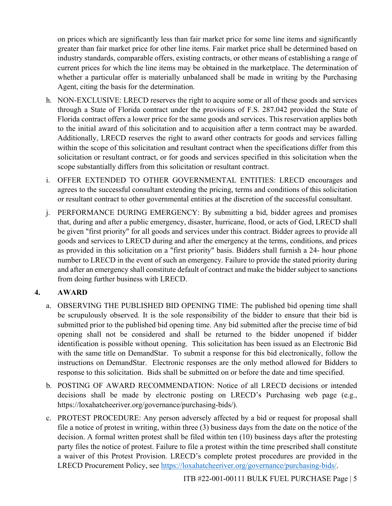on prices which are significantly less than fair market price for some line items and significantly greater than fair market price for other line items. Fair market price shall be determined based on industry standards, comparable offers, existing contracts, or other means of establishing a range of current prices for which the line items may be obtained in the marketplace. The determination of whether a particular offer is materially unbalanced shall be made in writing by the Purchasing Agent, citing the basis for the determination.

- h. NON-EXCLUSIVE: LRECD reserves the right to acquire some or all of these goods and services through a State of Florida contract under the provisions of F.S. 287.042 provided the State of Florida contract offers a lower price for the same goods and services. This reservation applies both to the initial award of this solicitation and to acquisition after a term contract may be awarded. Additionally, LRECD reserves the right to award other contracts for goods and services falling within the scope of this solicitation and resultant contract when the specifications differ from this solicitation or resultant contract, or for goods and services specified in this solicitation when the scope substantially differs from this solicitation or resultant contract.
- i. OFFER EXTENDED TO OTHER GOVERNMENTAL ENTITIES: LRECD encourages and agrees to the successful consultant extending the pricing, terms and conditions of this solicitation or resultant contract to other governmental entities at the discretion of the successful consultant.
- j. PERFORMANCE DURING EMERGENCY: By submitting a bid, bidder agrees and promises that, during and after a public emergency, disaster, hurricane, flood, or acts of God, LRECD shall be given "first priority" for all goods and services under this contract. Bidder agrees to provide all goods and services to LRECD during and after the emergency at the terms, conditions, and prices as provided in this solicitation on a "first priority" basis. Bidders shall furnish a 24- hour phone number to LRECD in the event of such an emergency. Failure to provide the stated priority during and after an emergency shall constitute default of contract and make the bidder subject to sanctions from doing further business with LRECD.

#### **4. AWARD**

- a. OBSERVING THE PUBLISHED BID OPENING TIME: The published bid opening time shall be scrupulously observed. It is the sole responsibility of the bidder to ensure that their bid is submitted prior to the published bid opening time. Any bid submitted after the precise time of bid opening shall not be considered and shall be returned to the bidder unopened if bidder identification is possible without opening. This solicitation has been issued as an Electronic Bid with the same title on DemandStar. To submit a response for this bid electronically, follow the instructions on DemandStar. Electronic responses are the only method allowed for Bidders to response to this solicitation. Bids shall be submitted on or before the date and time specified.
- b. POSTING OF AWARD RECOMMENDATION: Notice of all LRECD decisions or intended decisions shall be made by electronic posting on LRECD's Purchasing web page (e.g., https://loxahatcheeriver.org/governance/purchasing-bids/).
- c. PROTEST PROCEDURE: Any person adversely affected by a bid or request for proposal shall file a notice of protest in writing, within three (3) business days from the date on the notice of the decision. A formal written protest shall be filed within ten (10) business days after the protesting party files the notice of protest. Failure to file a protest within the time prescribed shall constitute a waiver of this Protest Provision. LRECD's complete protest procedures are provided in the LRECD Procurement Policy, see https://loxahatcheeriver.org/governance/purchasing-bids/.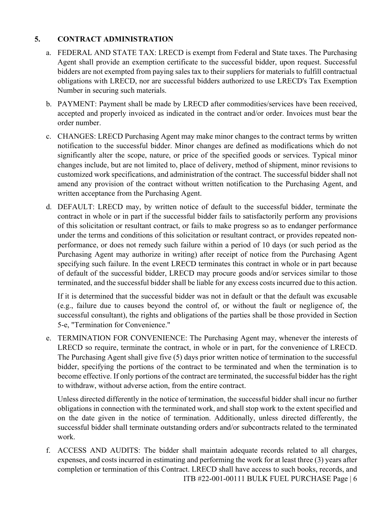#### **5. CONTRACT ADMINISTRATION**

- a. FEDERAL AND STATE TAX: LRECD is exempt from Federal and State taxes. The Purchasing Agent shall provide an exemption certificate to the successful bidder, upon request. Successful bidders are not exempted from paying sales tax to their suppliers for materials to fulfill contractual obligations with LRECD, nor are successful bidders authorized to use LRECD's Tax Exemption Number in securing such materials.
- b. PAYMENT: Payment shall be made by LRECD after commodities/services have been received, accepted and properly invoiced as indicated in the contract and/or order. Invoices must bear the order number.
- c. CHANGES: LRECD Purchasing Agent may make minor changes to the contract terms by written notification to the successful bidder. Minor changes are defined as modifications which do not significantly alter the scope, nature, or price of the specified goods or services. Typical minor changes include, but are not limited to, place of delivery, method of shipment, minor revisions to customized work specifications, and administration of the contract. The successful bidder shall not amend any provision of the contract without written notification to the Purchasing Agent, and written acceptance from the Purchasing Agent.
- d. DEFAULT: LRECD may, by written notice of default to the successful bidder, terminate the contract in whole or in part if the successful bidder fails to satisfactorily perform any provisions of this solicitation or resultant contract, or fails to make progress so as to endanger performance under the terms and conditions of this solicitation or resultant contract, or provides repeated nonperformance, or does not remedy such failure within a period of 10 days (or such period as the Purchasing Agent may authorize in writing) after receipt of notice from the Purchasing Agent specifying such failure. In the event LRECD terminates this contract in whole or in part because of default of the successful bidder, LRECD may procure goods and/or services similar to those terminated, and the successful bidder shall be liable for any excess costs incurred due to this action.

If it is determined that the successful bidder was not in default or that the default was excusable (e.g., failure due to causes beyond the control of, or without the fault or negligence of, the successful consultant), the rights and obligations of the parties shall be those provided in Section 5-e, "Termination for Convenience."

e. TERMINATION FOR CONVENIENCE: The Purchasing Agent may, whenever the interests of LRECD so require, terminate the contract, in whole or in part, for the convenience of LRECD. The Purchasing Agent shall give five (5) days prior written notice of termination to the successful bidder, specifying the portions of the contract to be terminated and when the termination is to become effective. If only portions of the contract are terminated, the successful bidder has the right to withdraw, without adverse action, from the entire contract.

Unless directed differently in the notice of termination, the successful bidder shall incur no further obligations in connection with the terminated work, and shall stop work to the extent specified and on the date given in the notice of termination. Additionally, unless directed differently, the successful bidder shall terminate outstanding orders and/or subcontracts related to the terminated work.

ITB #22-001-00111 BULK FUEL PURCHASE Page | 6 f. ACCESS AND AUDITS: The bidder shall maintain adequate records related to all charges, expenses, and costs incurred in estimating and performing the work for at least three (3) years after completion or termination of this Contract. LRECD shall have access to such books, records, and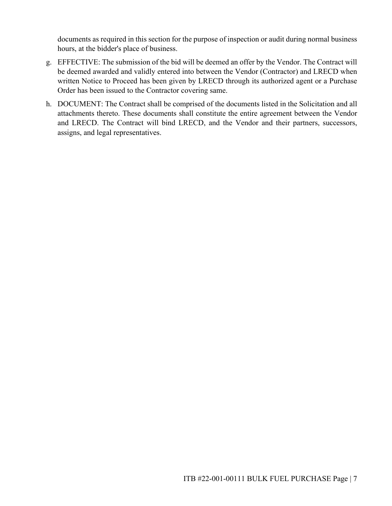documents as required in this section for the purpose of inspection or audit during normal business hours, at the bidder's place of business.

- g. EFFECTIVE: The submission of the bid will be deemed an offer by the Vendor. The Contract will be deemed awarded and validly entered into between the Vendor (Contractor) and LRECD when written Notice to Proceed has been given by LRECD through its authorized agent or a Purchase Order has been issued to the Contractor covering same.
- h. DOCUMENT: The Contract shall be comprised of the documents listed in the Solicitation and all attachments thereto. These documents shall constitute the entire agreement between the Vendor and LRECD. The Contract will bind LRECD, and the Vendor and their partners, successors, assigns, and legal representatives.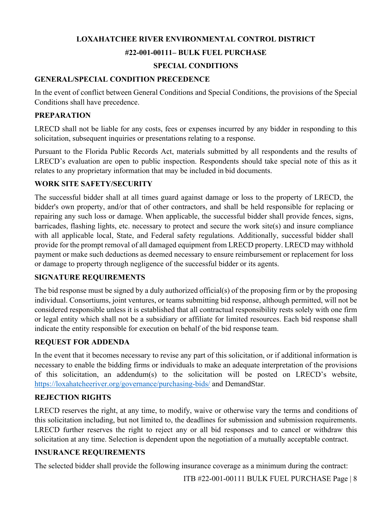# **LOXAHATCHEE RIVER ENVIRONMENTAL CONTROL DISTRICT #22-001-00111– BULK FUEL PURCHASE**

### **SPECIAL CONDITIONS**

#### **GENERAL/SPECIAL CONDITION PRECEDENCE**

In the event of conflict between General Conditions and Special Conditions, the provisions of the Special Conditions shall have precedence.

#### **PREPARATION**

LRECD shall not be liable for any costs, fees or expenses incurred by any bidder in responding to this solicitation, subsequent inquiries or presentations relating to a response.

Pursuant to the Florida Public Records Act, materials submitted by all respondents and the results of LRECD's evaluation are open to public inspection. Respondents should take special note of this as it relates to any proprietary information that may be included in bid documents.

#### **WORK SITE SAFETY/SECURITY**

The successful bidder shall at all times guard against damage or loss to the property of LRECD, the bidder's own property, and/or that of other contractors, and shall be held responsible for replacing or repairing any such loss or damage. When applicable, the successful bidder shall provide fences, signs, barricades, flashing lights, etc. necessary to protect and secure the work site(s) and insure compliance with all applicable local, State, and Federal safety regulations. Additionally, successful bidder shall provide for the prompt removal of all damaged equipment from LRECD property. LRECD may withhold payment or make such deductions as deemed necessary to ensure reimbursement or replacement for loss or damage to property through negligence of the successful bidder or its agents.

#### **SIGNATURE REQUIREMENTS**

The bid response must be signed by a duly authorized official(s) of the proposing firm or by the proposing individual. Consortiums, joint ventures, or teams submitting bid response, although permitted, will not be considered responsible unless it is established that all contractual responsibility rests solely with one firm or legal entity which shall not be a subsidiary or affiliate for limited resources. Each bid response shall indicate the entity responsible for execution on behalf of the bid response team.

#### **REQUEST FOR ADDENDA**

In the event that it becomes necessary to revise any part of this solicitation, or if additional information is necessary to enable the bidding firms or individuals to make an adequate interpretation of the provisions of this solicitation, an addendum(s) to the solicitation will be posted on LRECD's website, https://loxahatcheeriver.org/governance/purchasing-bids/ and DemandStar.

#### **REJECTION RIGHTS**

LRECD reserves the right, at any time, to modify, waive or otherwise vary the terms and conditions of this solicitation including, but not limited to, the deadlines for submission and submission requirements. LRECD further reserves the right to reject any or all bid responses and to cancel or withdraw this solicitation at any time. Selection is dependent upon the negotiation of a mutually acceptable contract.

#### **INSURANCE REQUIREMENTS**

The selected bidder shall provide the following insurance coverage as a minimum during the contract: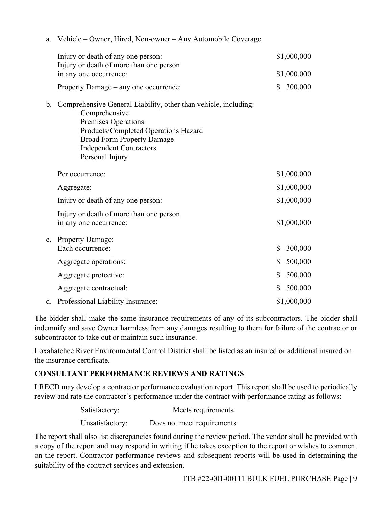| a. | Vehicle – Owner, Hired, Non-owner – Any Automobile Coverage                                                                                                                                                                               |               |
|----|-------------------------------------------------------------------------------------------------------------------------------------------------------------------------------------------------------------------------------------------|---------------|
|    | Injury or death of any one person:                                                                                                                                                                                                        | \$1,000,000   |
|    | Injury or death of more than one person<br>in any one occurrence:                                                                                                                                                                         | \$1,000,000   |
|    | Property Damage – any one occurrence:                                                                                                                                                                                                     | \$<br>300,000 |
| b. | Comprehensive General Liability, other than vehicle, including:<br>Comprehensive<br>Premises Operations<br>Products/Completed Operations Hazard<br><b>Broad Form Property Damage</b><br><b>Independent Contractors</b><br>Personal Injury |               |
|    | Per occurrence:                                                                                                                                                                                                                           | \$1,000,000   |
|    | Aggregate:                                                                                                                                                                                                                                | \$1,000,000   |
|    | Injury or death of any one person:                                                                                                                                                                                                        | \$1,000,000   |
|    | Injury or death of more than one person<br>in any one occurrence:                                                                                                                                                                         | \$1,000,000   |
| c. | <b>Property Damage:</b><br>Each occurrence:                                                                                                                                                                                               | \$<br>300,000 |
|    | Aggregate operations:                                                                                                                                                                                                                     | \$<br>500,000 |
|    | Aggregate protective:                                                                                                                                                                                                                     | \$<br>500,000 |
|    | Aggregate contractual:                                                                                                                                                                                                                    | \$<br>500,000 |
|    | d. Professional Liability Insurance:                                                                                                                                                                                                      | \$1,000,000   |

The bidder shall make the same insurance requirements of any of its subcontractors. The bidder shall indemnify and save Owner harmless from any damages resulting to them for failure of the contractor or subcontractor to take out or maintain such insurance.

Loxahatchee River Environmental Control District shall be listed as an insured or additional insured on the insurance certificate.

#### **CONSULTANT PERFORMANCE REVIEWS AND RATINGS**

LRECD may develop a contractor performance evaluation report. This report shall be used to periodically review and rate the contractor's performance under the contract with performance rating as follows:

| Satisfactory:   | Meets requirements         |
|-----------------|----------------------------|
| Unsatisfactory: | Does not meet requirements |

The report shall also list discrepancies found during the review period. The vendor shall be provided with a copy of the report and may respond in writing if he takes exception to the report or wishes to comment on the report. Contractor performance reviews and subsequent reports will be used in determining the suitability of the contract services and extension.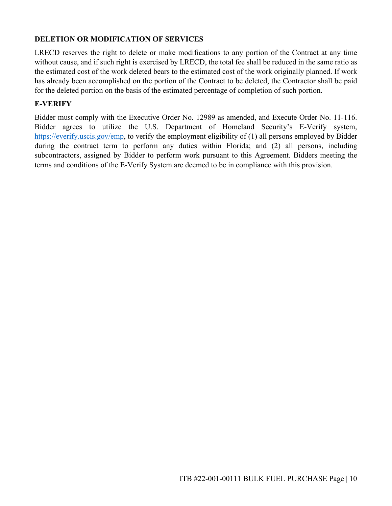#### **DELETION OR MODIFICATION OF SERVICES**

LRECD reserves the right to delete or make modifications to any portion of the Contract at any time without cause, and if such right is exercised by LRECD, the total fee shall be reduced in the same ratio as the estimated cost of the work deleted bears to the estimated cost of the work originally planned. If work has already been accomplished on the portion of the Contract to be deleted, the Contractor shall be paid for the deleted portion on the basis of the estimated percentage of completion of such portion.

#### **E-VERIFY**

Bidder must comply with the Executive Order No. 12989 as amended, and Execute Order No. 11-116. Bidder agrees to utilize the U.S. Department of Homeland Security's E-Verify system, https://everify.uscis.gov/emp, to verify the employment eligibility of (1) all persons employed by Bidder during the contract term to perform any duties within Florida; and (2) all persons, including subcontractors, assigned by Bidder to perform work pursuant to this Agreement. Bidders meeting the terms and conditions of the E-Verify System are deemed to be in compliance with this provision.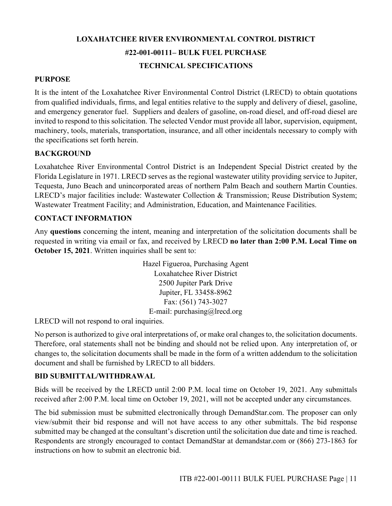## **LOXAHATCHEE RIVER ENVIRONMENTAL CONTROL DISTRICT #22-001-00111– BULK FUEL PURCHASE TECHNICAL SPECIFICATIONS**

#### **PURPOSE**

It is the intent of the Loxahatchee River Environmental Control District (LRECD) to obtain quotations from qualified individuals, firms, and legal entities relative to the supply and delivery of diesel, gasoline, and emergency generator fuel. Suppliers and dealers of gasoline, on-road diesel, and off-road diesel are invited to respond to this solicitation. The selected Vendor must provide all labor, supervision, equipment, machinery, tools, materials, transportation, insurance, and all other incidentals necessary to comply with the specifications set forth herein.

#### **BACKGROUND**

Loxahatchee River Environmental Control District is an Independent Special District created by the Florida Legislature in 1971. LRECD serves as the regional wastewater utility providing service to Jupiter, Tequesta, Juno Beach and unincorporated areas of northern Palm Beach and southern Martin Counties. LRECD's major facilities include: Wastewater Collection & Transmission; Reuse Distribution System; Wastewater Treatment Facility; and Administration, Education, and Maintenance Facilities.

#### **CONTACT INFORMATION**

Any **questions** concerning the intent, meaning and interpretation of the solicitation documents shall be requested in writing via email or fax, and received by LRECD **no later than 2:00 P.M. Local Time on October 15, 2021**. Written inquiries shall be sent to:

> Hazel Figueroa, Purchasing Agent Loxahatchee River District 2500 Jupiter Park Drive Jupiter, FL 33458-8962 Fax: (561) 743-3027 E-mail: purchasing@lrecd.org

LRECD will not respond to oral inquiries.

No person is authorized to give oral interpretations of, or make oral changes to, the solicitation documents. Therefore, oral statements shall not be binding and should not be relied upon. Any interpretation of, or changes to, the solicitation documents shall be made in the form of a written addendum to the solicitation document and shall be furnished by LRECD to all bidders.

#### **BID SUBMITTAL/WITHDRAWAL**

Bids will be received by the LRECD until 2:00 P.M. local time on October 19, 2021. Any submittals received after 2:00 P.M. local time on October 19, 2021, will not be accepted under any circumstances.

The bid submission must be submitted electronically through DemandStar.com. The proposer can only view/submit their bid response and will not have access to any other submittals. The bid response submitted may be changed at the consultant's discretion until the solicitation due date and time is reached. Respondents are strongly encouraged to contact DemandStar at demandstar.com or (866) 273-1863 for instructions on how to submit an electronic bid.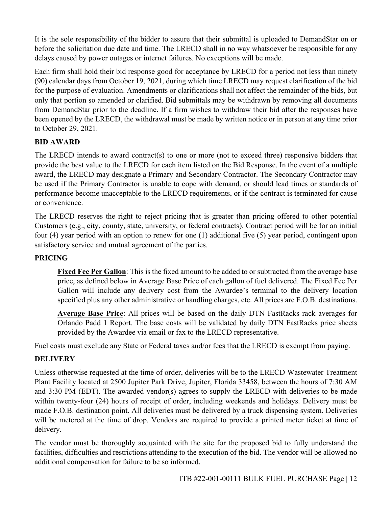It is the sole responsibility of the bidder to assure that their submittal is uploaded to DemandStar on or before the solicitation due date and time. The LRECD shall in no way whatsoever be responsible for any delays caused by power outages or internet failures. No exceptions will be made.

Each firm shall hold their bid response good for acceptance by LRECD for a period not less than ninety (90) calendar days from October 19, 2021, during which time LRECD may request clarification of the bid for the purpose of evaluation. Amendments or clarifications shall not affect the remainder of the bids, but only that portion so amended or clarified. Bid submittals may be withdrawn by removing all documents from DemandStar prior to the deadline. If a firm wishes to withdraw their bid after the responses have been opened by the LRECD, the withdrawal must be made by written notice or in person at any time prior to October 29, 2021.

#### **BID AWARD**

The LRECD intends to award contract(s) to one or more (not to exceed three) responsive bidders that provide the best value to the LRECD for each item listed on the Bid Response. In the event of a multiple award, the LRECD may designate a Primary and Secondary Contractor. The Secondary Contractor may be used if the Primary Contractor is unable to cope with demand, or should lead times or standards of performance become unacceptable to the LRECD requirements, or if the contract is terminated for cause or convenience.

The LRECD reserves the right to reject pricing that is greater than pricing offered to other potential Customers (e.g., city, county, state, university, or federal contracts). Contract period will be for an initial four (4) year period with an option to renew for one (1) additional five (5) year period, contingent upon satisfactory service and mutual agreement of the parties.

#### **PRICING**

**Fixed Fee Per Gallon**: This is the fixed amount to be added to or subtracted from the average base price, as defined below in Average Base Price of each gallon of fuel delivered. The Fixed Fee Per Gallon will include any delivery cost from the Awardee's terminal to the delivery location specified plus any other administrative or handling charges, etc. All prices are F.O.B. destinations.

**Average Base Price**: All prices will be based on the daily DTN FastRacks rack averages for Orlando Padd 1 Report. The base costs will be validated by daily DTN FastRacks price sheets provided by the Awardee via email or fax to the LRECD representative.

Fuel costs must exclude any State or Federal taxes and/or fees that the LRECD is exempt from paying.

#### **DELIVERY**

Unless otherwise requested at the time of order, deliveries will be to the LRECD Wastewater Treatment Plant Facility located at 2500 Jupiter Park Drive, Jupiter, Florida 33458, between the hours of 7:30 AM and 3:30 PM (EDT). The awarded vendor(s) agrees to supply the LRECD with deliveries to be made within twenty-four (24) hours of receipt of order, including weekends and holidays. Delivery must be made F.O.B. destination point. All deliveries must be delivered by a truck dispensing system. Deliveries will be metered at the time of drop. Vendors are required to provide a printed meter ticket at time of delivery.

The vendor must be thoroughly acquainted with the site for the proposed bid to fully understand the facilities, difficulties and restrictions attending to the execution of the bid. The vendor will be allowed no additional compensation for failure to be so informed.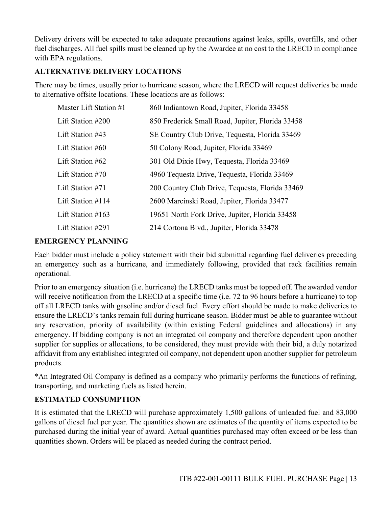Delivery drivers will be expected to take adequate precautions against leaks, spills, overfills, and other fuel discharges. All fuel spills must be cleaned up by the Awardee at no cost to the LRECD in compliance with EPA regulations.

#### **ALTERNATIVE DELIVERY LOCATIONS**

There may be times, usually prior to hurricane season, where the LRECD will request deliveries be made to alternative offsite locations. These locations are as follows:

| Master Lift Station #1 | 860 Indiantown Road, Jupiter, Florida 33458      |
|------------------------|--------------------------------------------------|
| Lift Station #200      | 850 Frederick Small Road, Jupiter, Florida 33458 |
| Lift Station #43       | SE Country Club Drive, Tequesta, Florida 33469   |
| Lift Station #60       | 50 Colony Road, Jupiter, Florida 33469           |
| Lift Station #62       | 301 Old Dixie Hwy, Tequesta, Florida 33469       |
| Lift Station #70       | 4960 Tequesta Drive, Tequesta, Florida 33469     |
| Lift Station #71       | 200 Country Club Drive, Tequesta, Florida 33469  |
| Lift Station $\#114$   | 2600 Marcinski Road, Jupiter, Florida 33477      |
| Lift Station $\#163$   | 19651 North Fork Drive, Jupiter, Florida 33458   |
| Lift Station #291      | 214 Cortona Blvd., Jupiter, Florida 33478        |

#### **EMERGENCY PLANNING**

Each bidder must include a policy statement with their bid submittal regarding fuel deliveries preceding an emergency such as a hurricane, and immediately following, provided that rack facilities remain operational.

Prior to an emergency situation (i.e. hurricane) the LRECD tanks must be topped off. The awarded vendor will receive notification from the LRECD at a specific time (i.e. 72 to 96 hours before a hurricane) to top off all LRECD tanks with gasoline and/or diesel fuel. Every effort should be made to make deliveries to ensure the LRECD's tanks remain full during hurricane season. Bidder must be able to guarantee without any reservation, priority of availability (within existing Federal guidelines and allocations) in any emergency. If bidding company is not an integrated oil company and therefore dependent upon another supplier for supplies or allocations, to be considered, they must provide with their bid, a duly notarized affidavit from any established integrated oil company, not dependent upon another supplier for petroleum products.

\*An Integrated Oil Company is defined as a company who primarily performs the functions of refining, transporting, and marketing fuels as listed herein.

#### **ESTIMATED CONSUMPTION**

It is estimated that the LRECD will purchase approximately 1,500 gallons of unleaded fuel and 83,000 gallons of diesel fuel per year. The quantities shown are estimates of the quantity of items expected to be purchased during the initial year of award. Actual quantities purchased may often exceed or be less than quantities shown. Orders will be placed as needed during the contract period.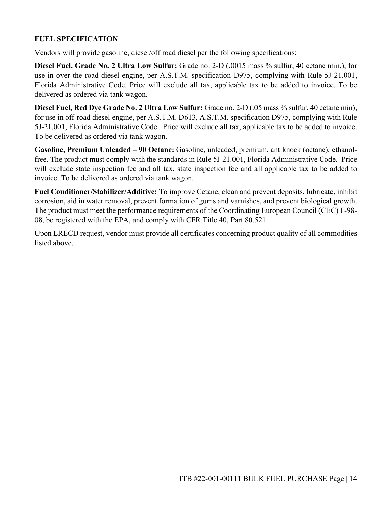#### **FUEL SPECIFICATION**

Vendors will provide gasoline, diesel/off road diesel per the following specifications:

**Diesel Fuel, Grade No. 2 Ultra Low Sulfur:** Grade no. 2-D (.0015 mass % sulfur, 40 cetane min.), for use in over the road diesel engine, per A.S.T.M. specification D975, complying with Rule 5J-21.001, Florida Administrative Code. Price will exclude all tax, applicable tax to be added to invoice. To be delivered as ordered via tank wagon.

**Diesel Fuel, Red Dye Grade No. 2 Ultra Low Sulfur:** Grade no. 2-D (.05 mass % sulfur, 40 cetane min), for use in off-road diesel engine, per A.S.T.M. D613, A.S.T.M. specification D975, complying with Rule 5J-21.001, Florida Administrative Code. Price will exclude all tax, applicable tax to be added to invoice. To be delivered as ordered via tank wagon.

**Gasoline, Premium Unleaded – 90 Octane:** Gasoline, unleaded, premium, antiknock (octane), ethanolfree. The product must comply with the standards in Rule 5J-21.001, Florida Administrative Code. Price will exclude state inspection fee and all tax, state inspection fee and all applicable tax to be added to invoice. To be delivered as ordered via tank wagon.

**Fuel Conditioner/Stabilizer/Additive:** To improve Cetane, clean and prevent deposits, lubricate, inhibit corrosion, aid in water removal, prevent formation of gums and varnishes, and prevent biological growth. The product must meet the performance requirements of the Coordinating European Council (CEC) F-98- 08, be registered with the EPA, and comply with CFR Title 40, Part 80.521.

Upon LRECD request, vendor must provide all certificates concerning product quality of all commodities listed above.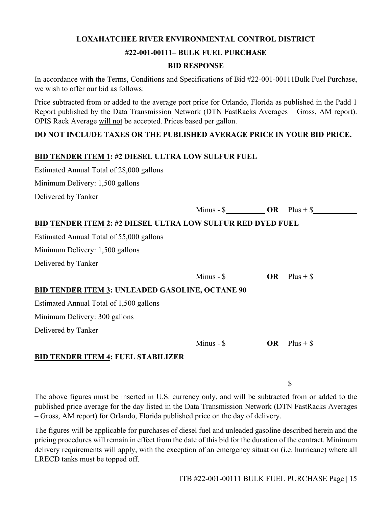#### **LOXAHATCHEE RIVER ENVIRONMENTAL CONTROL DISTRICT**

#### **#22-001-00111– BULK FUEL PURCHASE**

#### **BID RESPONSE**

In accordance with the Terms, Conditions and Specifications of Bid #22-001-00111Bulk Fuel Purchase, we wish to offer our bid as follows:

Price subtracted from or added to the average port price for Orlando, Florida as published in the Padd 1 Report published by the Data Transmission Network (DTN FastRacks Averages – Gross, AM report). OPIS Rack Average will not be accepted. Prices based per gallon.

#### **DO NOT INCLUDE TAXES OR THE PUBLISHED AVERAGE PRICE IN YOUR BID PRICE.**

#### **BID TENDER ITEM 1: #2 DIESEL ULTRA LOW SULFUR FUEL**

Estimated Annual Total of 28,000 gallons

Minimum Delivery: 1,500 gallons

Delivered by Tanker

|                                                                    |                                                                           | Minus - $\frac{\mathcal{S}}{\mathcal{S}}$ OR Plus + $\frac{\mathcal{S}}{\mathcal{S}}$ |
|--------------------------------------------------------------------|---------------------------------------------------------------------------|---------------------------------------------------------------------------------------|
| <b>BID TENDER ITEM 2: #2 DIESEL ULTRA LOW SULFUR RED DYED FUEL</b> |                                                                           |                                                                                       |
| Estimated Annual Total of 55,000 gallons                           |                                                                           |                                                                                       |
| Minimum Delivery: 1,500 gallons                                    |                                                                           |                                                                                       |
| Delivered by Tanker                                                |                                                                           |                                                                                       |
|                                                                    | Minus - $\frac{\text{S}}{\text{S}}$ OR Plus + $\frac{\text{S}}{\text{S}}$ |                                                                                       |
| <b>BID TENDER ITEM 3: UNLEADED GASOLINE, OCTANE 90</b>             |                                                                           |                                                                                       |
| Estimated Annual Total of 1,500 gallons                            |                                                                           |                                                                                       |
| Minimum Delivery: 300 gallons                                      |                                                                           |                                                                                       |
| Delivered by Tanker                                                |                                                                           |                                                                                       |
|                                                                    |                                                                           | Minus - $\frac{1}{2}$ OR Plus + $\frac{1}{2}$                                         |
| <b>BID TENDER ITEM 4: FUEL STABILIZER</b>                          |                                                                           |                                                                                       |
|                                                                    |                                                                           |                                                                                       |
|                                                                    |                                                                           | \$                                                                                    |

The above figures must be inserted in U.S. currency only, and will be subtracted from or added to the published price average for the day listed in the Data Transmission Network (DTN FastRacks Averages – Gross, AM report) for Orlando, Florida published price on the day of delivery.

The figures will be applicable for purchases of diesel fuel and unleaded gasoline described herein and the pricing procedures will remain in effect from the date of this bid for the duration of the contract. Minimum delivery requirements will apply, with the exception of an emergency situation (i.e. hurricane) where all LRECD tanks must be topped off.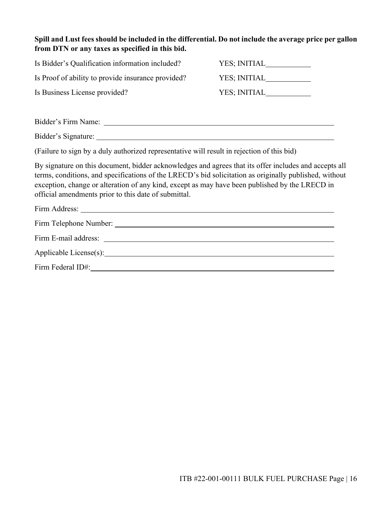**Spill and Lust fees should be included in the differential. Do not include the average price per gallon from DTN or any taxes as specified in this bid.** 

| Is Bidder's Qualification information included?                                                                                                                                                                                                                                                                                                                           |              |
|---------------------------------------------------------------------------------------------------------------------------------------------------------------------------------------------------------------------------------------------------------------------------------------------------------------------------------------------------------------------------|--------------|
| Is Proof of ability to provide insurance provided?                                                                                                                                                                                                                                                                                                                        | YES; INITIAL |
| Is Business License provided?                                                                                                                                                                                                                                                                                                                                             |              |
|                                                                                                                                                                                                                                                                                                                                                                           |              |
|                                                                                                                                                                                                                                                                                                                                                                           |              |
| (Failure to sign by a duly authorized representative will result in rejection of this bid)                                                                                                                                                                                                                                                                                |              |
| By signature on this document, bidder acknowledges and agrees that its offer includes and accepts all<br>terms, conditions, and specifications of the LRECD's bid solicitation as originally published, without<br>exception, change or alteration of any kind, except as may have been published by the LRECD in<br>official amendments prior to this date of submittal. |              |
|                                                                                                                                                                                                                                                                                                                                                                           |              |
|                                                                                                                                                                                                                                                                                                                                                                           |              |
|                                                                                                                                                                                                                                                                                                                                                                           |              |
|                                                                                                                                                                                                                                                                                                                                                                           |              |
| Firm Federal ID#:                                                                                                                                                                                                                                                                                                                                                         |              |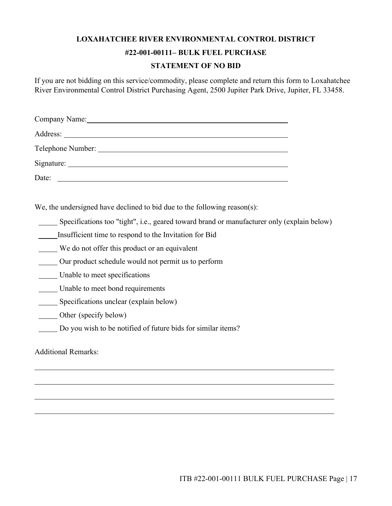#### **LOXAHATCHEE RIVER ENVIRONMENTAL CONTROL DISTRICT**

#### **#22-001-00111– BULK FUEL PURCHASE**

#### **STATEMENT OF NO BID**

If you are not bidding on this service/commodity, please complete and return this form to Loxahatchee River Environmental Control District Purchasing Agent, 2500 Jupiter Park Drive, Jupiter, FL 33458.

| Company Name:<br><u> 1989 - John Stein, Amerikaansk politiker (* 1958)</u> |
|----------------------------------------------------------------------------|
|                                                                            |
|                                                                            |
|                                                                            |
| Date:                                                                      |

We, the undersigned have declined to bid due to the following reason(s):

Specifications too "tight", i.e., geared toward brand or manufacturer only (explain below)

Insufficient time to respond to the Invitation for Bid

We do not offer this product or an equivalent

Our product schedule would not permit us to perform

Unable to meet specifications

Unable to meet bond requirements

Specifications unclear (explain below)

Other (specify below)

Do you wish to be notified of future bids for similar items?

Additional Remarks:

l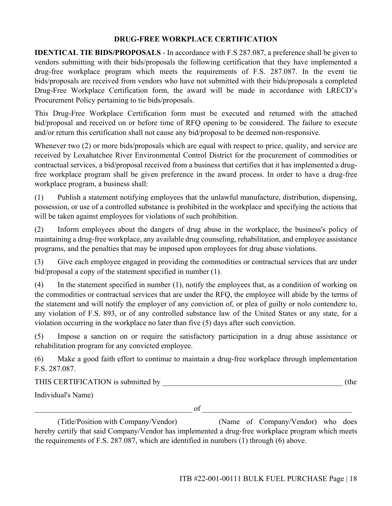#### **DRUG-FREE WORKPLACE CERTIFICATION**

**IDENTICAL TIE BIDS/PROPOSALS** - In accordance with F.S 287.087, a preference shall be given to vendors submitting with their bids/proposals the following certification that they have implemented a drug-free workplace program which meets the requirements of F.S. 287.087. In the event tie bids/proposals are received from vendors who have not submitted with their bids/proposals a completed Drug-Free Workplace Certification form, the award will be made in accordance with LRECD's Procurement Policy pertaining to tie bids/proposals.

This Drug-Free Workplace Certification form must be executed and returned with the attached bid/proposal and received on or before time of RFQ opening to be considered. The failure to execute and/or return this certification shall not cause any bid/proposal to be deemed non-responsive.

Whenever two (2) or more bids/proposals which are equal with respect to price, quality, and service are received by Loxahatchee River Environmental Control District for the procurement of commodities or contractual services, a bid/proposal received from a business that certifies that it has implemented a drugfree workplace program shall be given preference in the award process. In order to have a drug-free workplace program, a business shall:

(1) Publish a statement notifying employees that the unlawful manufacture, distribution, dispensing, possession, or use of a controlled substance is prohibited in the workplace and specifying the actions that will be taken against employees for violations of such prohibition.

(2) Inform employees about the dangers of drug abuse in the workplace, the business's policy of maintaining a drug-free workplace, any available drug counseling, rehabilitation, and employee assistance programs, and the penalties that may be imposed upon employees for drug abuse violations.

(3) Give each employee engaged in providing the commodities or contractual services that are under bid/proposal a copy of the statement specified in number (1).

(4) In the statement specified in number (1), notify the employees that, as a condition of working on the commodities or contractual services that are under the RFQ, the employee will abide by the terms of the statement and will notify the employer of any conviction of, or plea of guilty or nolo contendere to, any violation of F.S. 893, or of any controlled substance law of the United States or any state, for a violation occurring in the workplace no later than five (5) days after such conviction.

(5) Impose a sanction on or require the satisfactory participation in a drug abuse assistance or rehabilitation program for any convicted employee.

(6) Make a good faith effort to continue to maintain a drug-free workplace through implementation F.S. 287.087.

THIS CERTIFICATION is submitted by  $($ the

Individual's Name)

 $\circ$  of  $\circ$ 

(Title/Position with Company/Vendor) (Name of Company/Vendor) who does hereby certify that said Company/Vendor has implemented a drug-free workplace program which meets the requirements of F.S. 287.087, which are identified in numbers (1) through (6) above.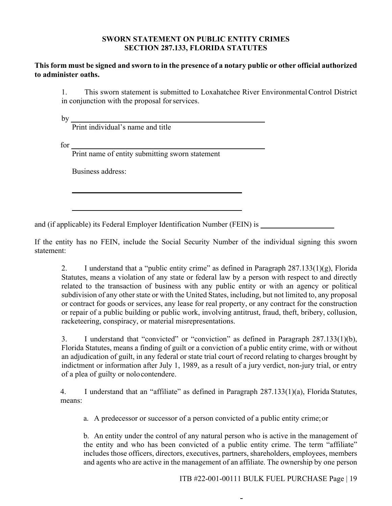#### **SWORN STATEMENT ON PUBLIC ENTITY CRIMES SECTION 287.133, FLORIDA STATUTES**

#### **This form must be signed and sworn to in the presence of a notary public or other official authorized to administer oaths.**

1. This sworn statement is submitted to Loxahatchee River Environmental Control District in conjunction with the proposal for services.

by

Print individual's name and title

for  $\overline{\phantom{a}}$ 

Print name of entity submitting sworn statement

Business address:

and (if applicable) its Federal Employer Identification Number (FEIN) is

If the entity has no FEIN, include the Social Security Number of the individual signing this sworn statement:

2. I understand that a "public entity crime" as defined in Paragraph  $287.133(1)(g)$ , Florida Statutes, means a violation of any state or federal law by a person with respect to and directly related to the transaction of business with any public entity or with an agency or political subdivision of any other state or with the United States, including, but not limited to, any proposal or contract for goods or services, any lease for real property, or any contract for the construction or repair of a public building or public work, involving antitrust, fraud, theft, bribery, collusion, racketeering, conspiracy, or material misrepresentations.

3. I understand that "convicted" or "conviction" as defined in Paragraph 287.133(1)(b), Florida Statutes, means a finding of guilt or a conviction of a public entity crime, with or without an adjudication of guilt, in any federal or state trial court of record relating to charges brought by indictment or information after July 1, 1989, as a result of a jury verdict, non-jury trial, or entry of a plea of guilty or nolo contendere.

4. I understand that an "affiliate" as defined in Paragraph 287.133(1)(a), Florida Statutes, means:

a. A predecessor or successor of a person convicted of a public entity crime; or

b. An entity under the control of any natural person who is active in the management of the entity and who has been convicted of a public entity crime. The term "affiliate" includes those officers, directors, executives, partners, shareholders, employees, members and agents who are active in the management of an affiliate. The ownership by one person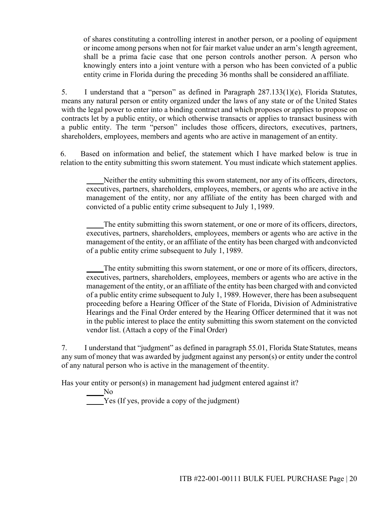of shares constituting a controlling interest in another person, or a pooling of equipment or income among persons when not for fair market value under an arm's length agreement, shall be a prima facie case that one person controls another person. A person who knowingly enters into a joint venture with a person who has been convicted of a public entity crime in Florida during the preceding 36 months shall be considered an affiliate.

5. I understand that a "person" as defined in Paragraph 287.133(1)(e), Florida Statutes, means any natural person or entity organized under the laws of any state or of the United States with the legal power to enter into a binding contract and which proposes or applies to propose on contracts let by a public entity, or which otherwise transacts or applies to transact business with a public entity. The term "person" includes those officers, directors, executives, partners, shareholders, employees, members and agents who are active in management of an entity.

6. Based on information and belief, the statement which I have marked below is true in relation to the entity submitting this sworn statement. You must indicate which statement applies.

Neither the entity submitting this sworn statement, nor any of its officers, directors, executives, partners, shareholders, employees, members, or agents who are active in the management of the entity, nor any affiliate of the entity has been charged with and convicted of a public entity crime subsequent to July 1, 1989.

The entity submitting this sworn statement, or one or more of its officers, directors, executives, partners, shareholders, employees, members or agents who are active in the management of the entity, or an affiliate of the entity has been charged with and convicted of a public entity crime subsequent to July 1, 1989.

The entity submitting this sworn statement, or one or more of its officers, directors, executives, partners, shareholders, employees, members or agents who are active in the management of the entity, or an affiliate of the entity has been charged with and convicted of a public entity crime subsequent to July 1, 1989. However, there has been a subsequent proceeding before a Hearing Officer of the State of Florida, Division of Administrative Hearings and the Final Order entered by the Hearing Officer determined that it was not in the public interest to place the entity submitting this sworn statement on the convicted vendor list. (Attach a copy of the Final Order)

7. I understand that "judgment" as defined in paragraph 55.01, Florida State Statutes, means any sum of money that was awarded by judgment against any person(s) or entity under the control of any natural person who is active in the management of the entity.

Has your entity or person(s) in management had judgment entered against it?

No Yes (If yes, provide a copy of the judgment)